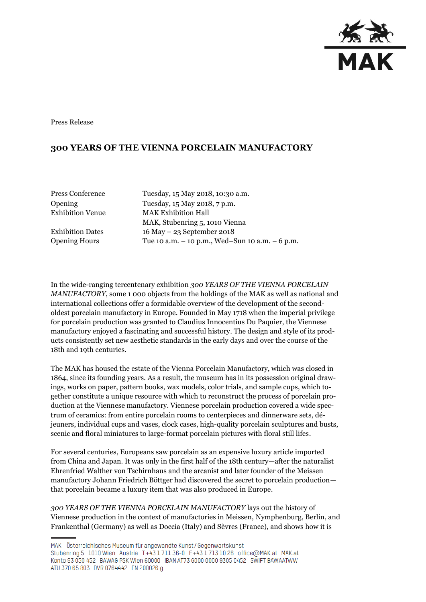

Press Release

# **300 YEARS OF THE VIENNA PORCELAIN MANUFACTORY**

| Press Conference        |
|-------------------------|
| Opening                 |
| <b>Exhibition Venue</b> |

Tuesday, 15 May 2018, 10:30 a.m. Tuesday, 15 May 2018, 7 p.m. **MAK Exhibition Hall** MAK, Stubenring 5, 1010 Vienna Exhibition Dates 16 May – 23 September 2018 Opening Hours Tue 10 a.m. – 10 p.m., Wed–Sun 10 a.m. – 6 p.m.

In the wide-ranging tercentenary exhibition *300 YEARS OF THE VIENNA PORCELAIN MANUFACTORY*, some 1 000 objects from the holdings of the MAK as well as national and international collections offer a formidable overview of the development of the secondoldest porcelain manufactory in Europe. Founded in May 1718 when the imperial privilege for porcelain production was granted to Claudius Innocentius Du Paquier, the Viennese manufactory enjoyed a fascinating and successful history. The design and style of its products consistently set new aesthetic standards in the early days and over the course of the 18th and 19th centuries.

The MAK has housed the estate of the Vienna Porcelain Manufactory, which was closed in 1864, since its founding years. As a result, the museum has in its possession original drawings, works on paper, pattern books, wax models, color trials, and sample cups, which together constitute a unique resource with which to reconstruct the process of porcelain production at the Viennese manufactory. Viennese porcelain production covered a wide spectrum of ceramics: from entire porcelain rooms to centerpieces and dinnerware sets, déjeuners, individual cups and vases, clock cases, high-quality porcelain sculptures and busts, scenic and floral miniatures to large-format porcelain pictures with floral still lifes.

For several centuries, Europeans saw porcelain as an expensive luxury article imported from China and Japan. It was only in the first half of the 18th century—after the naturalist Ehrenfried Walther von Tschirnhaus and the arcanist and later founder of the Meissen manufactory Johann Friedrich Böttger had discovered the secret to porcelain production that porcelain became a luxury item that was also produced in Europe.

*300 YEARS OF THE VIENNA PORCELAIN MANUFACTORY* lays out the history of Viennese production in the context of manufactories in Meissen, Nymphenburg, Berlin, and Frankenthal (Germany) as well as Doccia (Italy) and Sèvres (France), and shows how it is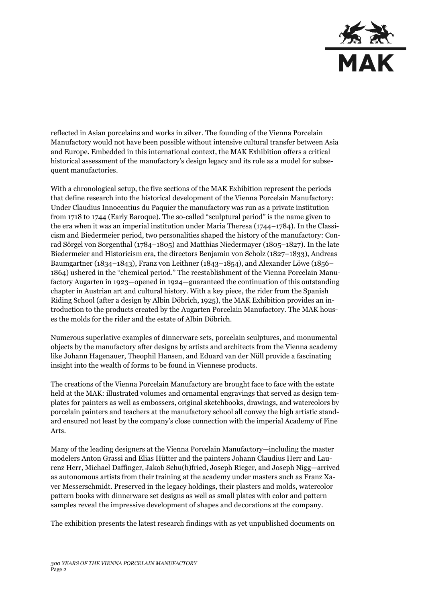

reflected in Asian porcelains and works in silver. The founding of the Vienna Porcelain Manufactory would not have been possible without intensive cultural transfer between Asia and Europe. Embedded in this international context, the MAK Exhibition offers a critical historical assessment of the manufactory's design legacy and its role as a model for subsequent manufactories.

With a chronological setup, the five sections of the MAK Exhibition represent the periods that define research into the historical development of the Vienna Porcelain Manufactory: Under Claudius Innocentius du Paquier the manufactory was run as a private institution from 1718 to 1744 (Early Baroque). The so-called "sculptural period" is the name given to the era when it was an imperial institution under Maria Theresa (1744–1784). In the Classicism and Biedermeier period, two personalities shaped the history of the manufactory: Conrad Sörgel von Sorgenthal (1784–1805) and Matthias Niedermayer (1805–1827). In the late Biedermeier and Historicism era, the directors Benjamin von Scholz (1827–1833), Andreas Baumgartner (1834–1843), Franz von Leithner (1843–1854), and Alexander Löwe (1856– 1864) ushered in the "chemical period." The reestablishment of the Vienna Porcelain Manufactory Augarten in 1923—opened in 1924—guaranteed the continuation of this outstanding chapter in Austrian art and cultural history. With a key piece, the rider from the Spanish Riding School (after a design by Albin Döbrich, 1925), the MAK Exhibition provides an introduction to the products created by the Augarten Porcelain Manufactory. The MAK houses the molds for the rider and the estate of Albin Döbrich.

Numerous superlative examples of dinnerware sets, porcelain sculptures, and monumental objects by the manufactory after designs by artists and architects from the Vienna academy like Johann Hagenauer, Theophil Hansen, and Eduard van der Nüll provide a fascinating insight into the wealth of forms to be found in Viennese products.

The creations of the Vienna Porcelain Manufactory are brought face to face with the estate held at the MAK: illustrated volumes and ornamental engravings that served as design templates for painters as well as embossers, original sketchbooks, drawings, and watercolors by porcelain painters and teachers at the manufactory school all convey the high artistic standard ensured not least by the company's close connection with the imperial Academy of Fine Arts.

Many of the leading designers at the Vienna Porcelain Manufactory—including the master modelers Anton Grassi and Elias Hütter and the painters Johann Claudius Herr and Laurenz Herr, Michael Daffinger, Jakob Schu(h)fried, Joseph Rieger, and Joseph Nigg—arrived as autonomous artists from their training at the academy under masters such as Franz Xaver Messerschmidt. Preserved in the legacy holdings, their plasters and molds, watercolor pattern books with dinnerware set designs as well as small plates with color and pattern samples reveal the impressive development of shapes and decorations at the company.

The exhibition presents the latest research findings with as yet unpublished documents on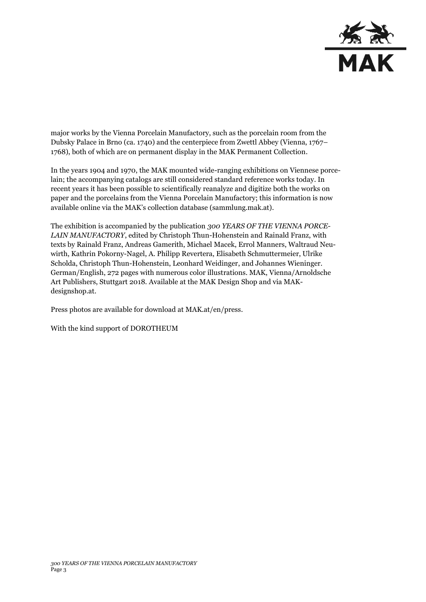

major works by the Vienna Porcelain Manufactory, such as the porcelain room from the Dubsky Palace in Brno (ca. 1740) and the centerpiece from Zwettl Abbey (Vienna, 1767– 1768), both of which are on permanent display in the MAK Permanent Collection.

In the years 1904 and 1970, the MAK mounted wide-ranging exhibitions on Viennese porcelain; the accompanying catalogs are still considered standard reference works today. In recent years it has been possible to scientifically reanalyze and digitize both the works on paper and the porcelains from the Vienna Porcelain Manufactory; this information is now available online via the MAK's collection database (sammlung.mak.at).

The exhibition is accompanied by the publication *300 YEARS OF THE VIENNA PORCE-LAIN MANUFACTORY*, edited by Christoph Thun-Hohenstein and Rainald Franz, with texts by Rainald Franz, Andreas Gamerith, Michael Macek, Errol Manners, Waltraud Neuwirth, Kathrin Pokorny-Nagel, A. Philipp Revertera, Elisabeth Schmuttermeier, Ulrike Scholda, Christoph Thun-Hohenstein, Leonhard Weidinger, and Johannes Wieninger. German/English, 272 pages with numerous color illustrations. MAK, Vienna/Arnoldsche Art Publishers, Stuttgart 2018. Available at the MAK Design Shop and via MAKdesignshop.at.

Press photos are available for download at MAK.at/en/press.

With the kind support of DOROTHEUM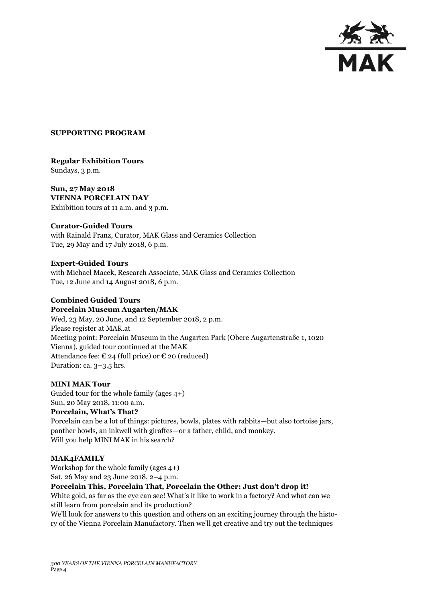

#### **SUPPORTING PROGRAM**

# **Regular Exhibition Tours**  Sundays, 3 p.m.

**Sun, 27 May 2018 VIENNA PORCELAIN DAY** Exhibition tours at 11 a.m. and 3 p.m.

# **Curator-Guided Tours**

with Rainald Franz, Curator, MAK Glass and Ceramics Collection Tue, 29 May and 17 July 2018, 6 p.m.

#### **Expert-Guided Tours**

with Michael Macek, Research Associate, MAK Glass and Ceramics Collection Tue, 12 June and 14 August 2018, 6 p.m.

#### **Combined Guided Tours Porcelain Museum Augarten/MAK**

Wed, 23 May, 20 June, and 12 September 2018, 2 p.m. Please register at MAK.at Meeting point: Porcelain Museum in the Augarten Park (Obere Augartenstraße 1, 1020 Vienna), guided tour continued at the MAK Attendance fee:  $\epsilon$  24 (full price) or  $\epsilon$  20 (reduced) Duration: ca. 3–3.5 hrs.

# **MINI MAK Tour**

Guided tour for the whole family (ages 4+) Sun, 20 May 2018, 11:00 a.m.

# **Porcelain, What's That?**

Porcelain can be a lot of things: pictures, bowls, plates with rabbits—but also tortoise jars, panther bowls, an inkwell with giraffes—or a father, child, and monkey. Will you help MINI MAK in his search?

#### **MAK4FAMILY**

Workshop for the whole family (ages 4+) Sat, 26 May and 23 June 2018, 2–4 p.m.

# **Porcelain This, Porcelain That, Porcelain the Other: Just don't drop it!**

White gold, as far as the eye can see! What's it like to work in a factory? And what can we still learn from porcelain and its production?

We'll look for answers to this question and others on an exciting journey through the history of the Vienna Porcelain Manufactory. Then we'll get creative and try out the techniques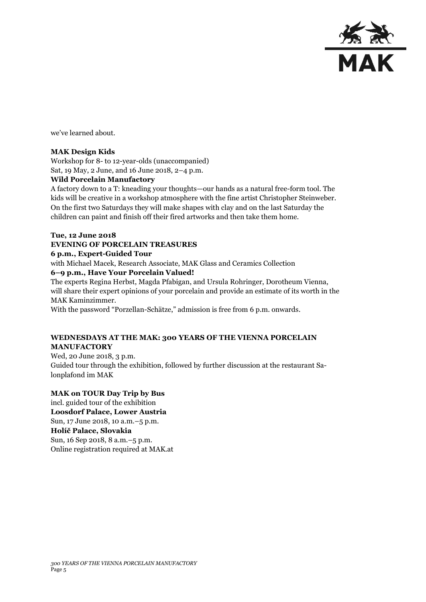

we've learned about.

# **MAK Design Kids**

Workshop for 8- to 12-year-olds (unaccompanied) Sat, 19 May, 2 June, and 16 June 2018, 2–4 p.m.

# **Wild Porcelain Manufactory**

A factory down to a T: kneading your thoughts—our hands as a natural free-form tool. The kids will be creative in a workshop atmosphere with the fine artist Christopher Steinweber. On the first two Saturdays they will make shapes with clay and on the last Saturday the children can paint and finish off their fired artworks and then take them home.

#### **Tue, 12 June 2018**

# **EVENING OF PORCELAIN TREASURES**

#### **6 p.m., Expert-Guided Tour**

with Michael Macek, Research Associate, MAK Glass and Ceramics Collection **6–9 p.m., Have Your Porcelain Valued!**

The experts Regina Herbst, Magda Pfabigan, and Ursula Rohringer, Dorotheum Vienna, will share their expert opinions of your porcelain and provide an estimate of its worth in the MAK Kaminzimmer.

With the password "Porzellan-Schätze," admission is free from 6 p.m. onwards.

# **WEDNESDAYS AT THE MAK: 300 YEARS OF THE VIENNA PORCELAIN MANUFACTORY**

Wed, 20 June 2018, 3 p.m. Guided tour through the exhibition, followed by further discussion at the restaurant Salonplafond im MAK

# **MAK on TOUR Day Trip by Bus**

incl. guided tour of the exhibition **Loosdorf Palace, Lower Austria** Sun, 17 June 2018, 10 a.m.–5 p.m. **Holíč Palace, Slovakia**  Sun, 16 Sep 2018, 8 a.m.–5 p.m. Online registration required at MAK.at